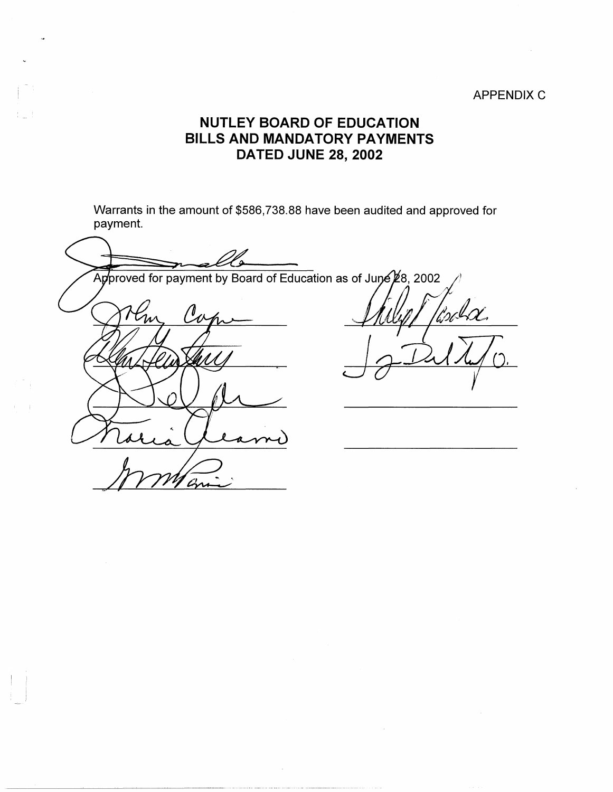## APPENDIX C

## **NUTLEY BOARD OF EDUCATION BILLS AND MANDATORY PAYMENTS DATED JUNE 28, 2002**

Warrants in the amount of \$586,738.88 have been audited and approved for payment.

بمرجه Approved for payment by Board of Education as of June 28, 2002 Roch Con  $\mathcal{U}_{\mathcal{W}}$ 

 $\vert \cdot \vert$  $\vert$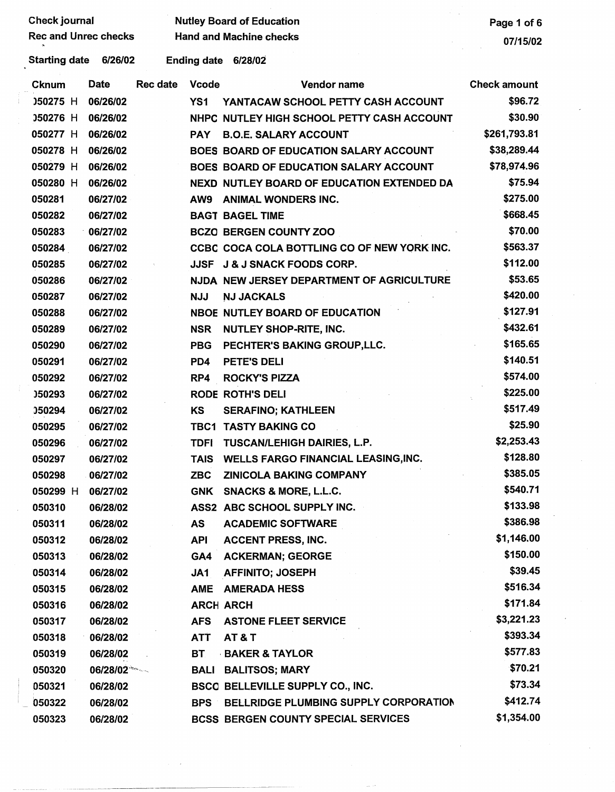| Check journal               |             |          |                    | <b>Nutley Board of Education</b>              | Page 1 of 6         |
|-----------------------------|-------------|----------|--------------------|-----------------------------------------------|---------------------|
| <b>Rec and Unrec checks</b> |             |          |                    | <b>Hand and Machine checks</b>                | 07/15/02            |
| <b>Starting date</b>        | 6/26/02     |          | <b>Ending date</b> | 6/28/02                                       |                     |
| <b>Cknum</b>                | <b>Date</b> | Rec date | <b>Vcode</b>       | Vendor name                                   | <b>Check amount</b> |
| 050275 H                    | 06/26/02    |          | YS <sub>1</sub>    | YANTACAW SCHOOL PETTY CASH ACCOUNT            | \$96.72             |
| 050276 H                    | 06/26/02    |          |                    | NHPC NUTLEY HIGH SCHOOL PETTY CASH ACCOUNT    | \$30.90             |
| 050277 H                    | 06/26/02    |          | <b>PAY</b>         | <b>B.O.E. SALARY ACCOUNT</b>                  | \$261,793.81        |
| 050278 H                    | 06/26/02    |          |                    | <b>BOES BOARD OF EDUCATION SALARY ACCOUNT</b> | \$38,289.44         |
| 050279 H                    | 06/26/02    |          |                    | BOES BOARD OF EDUCATION SALARY ACCOUNT        | \$78,974.96         |
| 050280 H                    | 06/26/02    |          |                    | NEXD NUTLEY BOARD OF EDUCATION EXTENDED DA    | \$75.94             |
| 050281                      | 06/27/02    |          | AW9                | <b>ANIMAL WONDERS INC.</b>                    | \$275.00            |
| 050282                      | 06/27/02    |          |                    | <b>BAGT BAGEL TIME</b>                        | \$668.45            |
| 050283                      | 06/27/02    |          |                    | <b>BCZO BERGEN COUNTY ZOO</b>                 | \$70.00             |
| 050284                      | 06/27/02    |          |                    | CCBC COCA COLA BOTTLING CO OF NEW YORK INC.   | \$563.37            |
| 050285                      | 06/27/02    |          | <b>JJSF</b>        | <b>J &amp; J SNACK FOODS CORP.</b>            | \$112.00            |
| 050286                      | 06/27/02    |          |                    | NJDA NEW JERSEY DEPARTMENT OF AGRICULTURE     | \$53.65             |
| 050287                      | 06/27/02    |          | <b>NJJ</b>         | <b>NJ JACKALS</b>                             | \$420.00            |
| 050288                      | 06/27/02    |          |                    | NBOE NUTLEY BOARD OF EDUCATION                | \$127.91            |
| 050289                      | 06/27/02    |          | <b>NSR</b>         | NUTLEY SHOP-RITE, INC.                        | \$432.61            |
| 050290                      | 06/27/02    |          | <b>PBG</b>         | PECHTER'S BAKING GROUP, LLC.                  | \$165.65            |
| 050291                      | 06/27/02    |          | PD4                | PETE'S DELI                                   | \$140.51            |
| 050292                      | 06/27/02    |          | RP4                | <b>ROCKY'S PIZZA</b>                          | \$574.00            |
| 050293                      | 06/27/02    |          |                    | <b>RODE ROTH'S DELI</b>                       | \$225.00            |
| 050294                      | 06/27/02    |          | KS                 | <b>SERAFINO; KATHLEEN</b>                     | \$517.49            |
| 050295                      | 06/27/02    |          | TBC1               | <b>TASTY BAKING CO</b>                        | \$25.90             |
| 050296                      | 06/27/02    |          | <b>TDFI</b>        | <b>TUSCAN/LEHIGH DAIRIES, L.P.</b>            | \$2,253.43          |
| 050297                      | 06/27/02    |          | <b>TAIS</b>        | WELLS FARGO FINANCIAL LEASING, INC.           | \$128.80            |
| 050298                      | 06/27/02    |          | <b>ZBC</b>         | <b>ZINICOLA BAKING COMPANY</b>                | \$385.05            |
| 050299 H                    | 06/27/02    |          | <b>GNK</b>         | SNACKS & MORE, L.L.C.                         | \$540.71            |
| 050310                      | 06/28/02    |          |                    | ASS2 ABC SCHOOL SUPPLY INC.                   | \$133.98            |
| 050311                      | 06/28/02    |          | AS                 | <b>ACADEMIC SOFTWARE</b>                      | \$386.98            |
| 050312                      | 06/28/02    |          | <b>API</b>         | <b>ACCENT PRESS, INC.</b>                     | \$1,146.00          |
| 050313                      | 06/28/02    |          | GA4                | <b>ACKERMAN; GEORGE</b>                       | \$150.00            |
| 050314                      | 06/28/02    |          | JA1                | <b>AFFINITO; JOSEPH</b>                       | \$39.45             |
| 050315                      | 06/28/02    |          | <b>AME</b>         | <b>AMERADA HESS</b>                           | \$516.34            |
| 050316                      | 06/28/02    |          |                    | <b>ARCH ARCH</b>                              | \$171.84            |
| 050317                      | 06/28/02    |          | <b>AFS</b>         | <b>ASTONE FLEET SERVICE</b>                   | \$3,221.23          |
| 050318                      | 06/28/02    |          | <b>ATT</b>         | AT&T                                          | \$393.34            |
| 050319                      | 06/28/02    |          | <b>BT</b>          | <b>BAKER &amp; TAYLOR</b>                     | \$577.83            |
| 050320                      | 06/28/02    |          |                    | <b>BALI BALITSOS; MARY</b>                    | \$70.21             |
| 050321                      | 06/28/02    |          |                    | BSCO BELLEVILLE SUPPLY CO., INC.              | \$73.34             |
| 050322                      | 06/28/02    |          | <b>BPS</b>         | BELLRIDGE PLUMBING SUPPLY CORPORATION         | \$412.74            |
| 050323                      | 06/28/02    |          |                    | <b>BCSS BERGEN COUNTY SPECIAL SERVICES</b>    | \$1,354.00          |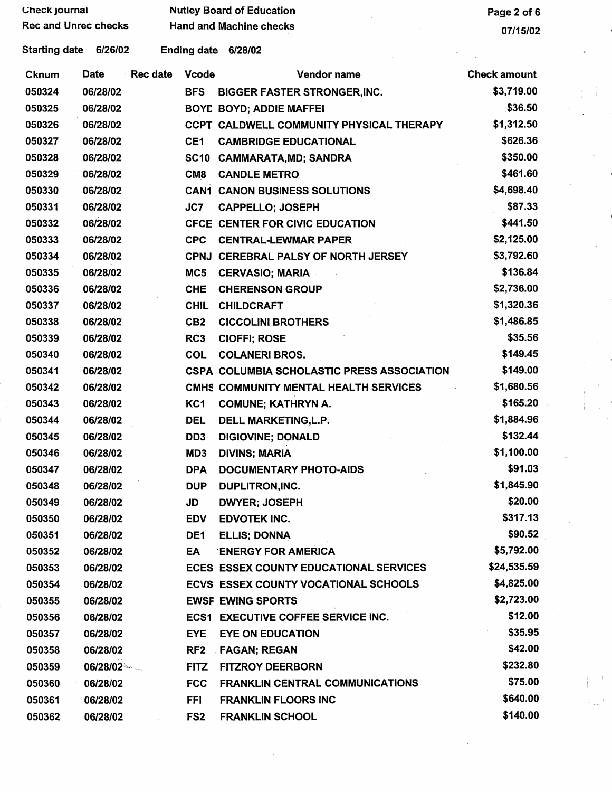| <b>Check journal</b><br><b>Rec and Unrec checks</b> |          |          | <b>Nutley Board of Education</b> | Page 2 of 6<br>07/15/02                     |                     |
|-----------------------------------------------------|----------|----------|----------------------------------|---------------------------------------------|---------------------|
|                                                     |          |          | <b>Hand and Machine checks</b>   |                                             |                     |
| <b>Starting date</b>                                | 6/26/02  |          |                                  | Ending date 6/28/02                         |                     |
| Cknum                                               | Date     | Rec date | <b>Vcode</b>                     | Vendor name                                 | <b>Check amount</b> |
| 050324                                              | 06/28/02 |          | <b>BFS</b>                       | <b>BIGGER FASTER STRONGER, INC.</b>         | \$3,719.00          |
| 050325                                              | 06/28/02 |          |                                  | <b>BOYD BOYD; ADDIE MAFFEI</b>              | \$36.50             |
| 050326                                              | 06/28/02 |          |                                  | CCPT CALDWELL COMMUNITY PHYSICAL THERAPY    | \$1,312.50          |
| 050327                                              | 06/28/02 |          | CE <sub>1</sub>                  | <b>CAMBRIDGE EDUCATIONAL</b>                | \$626.36            |
| 050328                                              | 06/28/02 |          | <b>SC10</b>                      | <b>CAMMARATA, MD; SANDRA</b>                | \$350.00            |
| 050329                                              | 06/28/02 |          | CM <sub>8</sub>                  | <b>CANDLE METRO</b>                         | \$461.60            |
| 050330                                              | 06/28/02 |          |                                  | <b>CAN1 CANON BUSINESS SOLUTIONS</b>        | \$4,698.40          |
| 050331                                              | 06/28/02 |          | JC7                              | <b>CAPPELLO; JOSEPH</b>                     | \$87.33             |
| 050332                                              | 06/28/02 |          |                                  | CFCE CENTER FOR CIVIC EDUCATION             | \$441.50            |
| 050333                                              | 06/28/02 |          | <b>CPC</b>                       | <b>CENTRAL-LEWMAR PAPER</b>                 | \$2,125.00          |
| 050334                                              | 06/28/02 |          |                                  | CPNJ CEREBRAL PALSY OF NORTH JERSEY         | \$3,792.60          |
| 050335                                              | 06/28/02 |          | MC5                              | <b>CERVASIO; MARIA</b>                      | \$136.84            |
| 050336                                              | 06/28/02 |          | <b>CHE</b>                       | <b>CHERENSON GROUP</b>                      | \$2,736.00          |
| 050337                                              | 06/28/02 |          | <b>CHIL</b>                      | <b>CHILDCRAFT</b>                           | \$1,320.36          |
| 050338                                              | 06/28/02 |          | CB <sub>2</sub>                  | <b>CICCOLINI BROTHERS</b>                   | \$1,486.85          |
| 050339                                              | 06/28/02 |          | RC3                              | <b>CIOFFI; ROSE</b>                         | \$35.56             |
| 050340                                              | 06/28/02 |          | <b>COL</b>                       | <b>COLANERI BROS.</b>                       | \$149.45            |
| 050341                                              | 06/28/02 |          |                                  | CSPA COLUMBIA SCHOLASTIC PRESS ASSOCIATION  | \$149.00            |
| 050342                                              | 06/28/02 |          |                                  | CMHS COMMUNITY MENTAL HEALTH SERVICES       | \$1,680.56          |
| 050343                                              | 06/28/02 |          | KC <sub>1</sub>                  | <b>COMUNE; KATHRYN A.</b>                   | \$165.20            |
| 050344                                              | 06/28/02 |          | <b>DEL</b>                       | DELL MARKETING, L.P.                        | \$1,884.96          |
| 050345                                              | 06/28/02 |          | DD <sub>3</sub>                  | <b>DIGIOVINE; DONALD</b>                    | \$132.44            |
| 050346                                              | 06/28/02 |          | MD3                              | <b>DIVINS; MARIA</b>                        | \$1,100.00          |
| 050347                                              | 06/28/02 |          | <b>DPA</b>                       | DOCUMENTARY PHOTO-AIDS                      | \$91.03             |
| 050348                                              | 06/28/02 |          | <b>DUP</b>                       | <b>DUPLITRON, INC.</b>                      | \$1,845.90          |
| 050349                                              | 06/28/02 |          | JD                               | <b>DWYER; JOSEPH</b>                        | \$20.00             |
| 050350                                              | 06/28/02 |          | <b>EDV</b>                       | <b>EDVOTEK INC.</b>                         | \$317.13            |
| 050351                                              | 06/28/02 |          | DE1                              | <b>ELLIS; DONNA</b>                         | \$90.52             |
| 050352                                              | 06/28/02 |          | EA                               | <b>ENERGY FOR AMERICA</b>                   | \$5,792.00          |
| 050353                                              | 06/28/02 |          |                                  | ECES ESSEX COUNTY EDUCATIONAL SERVICES      | \$24,535.59         |
| 050354                                              | 06/28/02 |          |                                  | <b>ECVS ESSEX COUNTY VOCATIONAL SCHOOLS</b> | \$4,825.00          |
| 050355                                              | 06/28/02 |          |                                  | <b>EWSF EWING SPORTS</b>                    | \$2,723.00          |
| 050356                                              | 06/28/02 |          |                                  | <b>ECS1 EXECUTIVE COFFEE SERVICE INC.</b>   | \$12.00             |
| 050357                                              | 06/28/02 |          | <b>EYE</b>                       | <b>EYE ON EDUCATION</b>                     | \$35.95             |
| 050358                                              | 06/28/02 |          | RF2                              | FAGAN; REGAN                                | \$42.00             |
| 050359                                              | 06/28/02 |          | <b>FITZ</b>                      | <b>FITZROY DEERBORN</b>                     | \$232.80            |
| 050360                                              | 06/28/02 |          | <b>FCC</b>                       | <b>FRANKLIN CENTRAL COMMUNICATIONS</b>      | \$75.00             |
| 050361                                              | 06/28/02 |          | <b>FFI</b>                       | <b>FRANKLIN FLOORS INC</b>                  | \$640.00            |
| 050362                                              | 06/28/02 |          | FS <sub>2</sub>                  | <b>FRANKLIN SCHOOL</b>                      | \$140.00            |

 $\frac{1}{\sqrt{2}}\sum_{i=1}^{n-1}\frac{1}{\sqrt{2}}\left(\frac{1}{\sqrt{2}}\right)^2\left(\frac{1}{\sqrt{2}}\right)^2.$ 

 $\sim$ 

 $\mathcal{L}_{\mathrm{eff}}$ 

 $\label{eq:2.1} \frac{d\mathbf{r}}{dt} = \frac{1}{2} \left( \frac{d\mathbf{r}}{dt} + \frac{d\mathbf{r}}{dt} \right)$ 

 $\frac{1}{\sqrt{2}}\left( \frac{1}{\sqrt{2}}\right) ^{2}$ 

 $\frac{1}{\sqrt{2}}$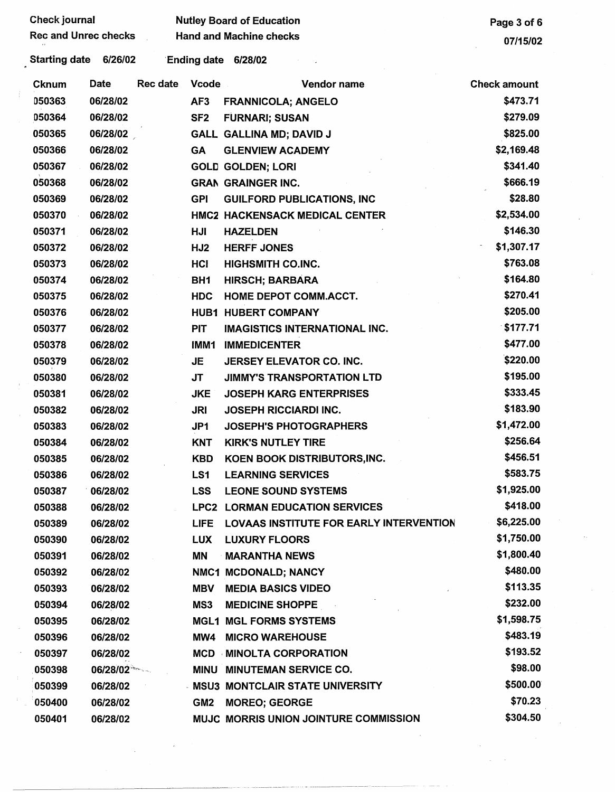| <b>Check journal</b>        |          |                                | <b>Nutley Board of Education</b>               | Page 3 of 6         |
|-----------------------------|----------|--------------------------------|------------------------------------------------|---------------------|
| <b>Rec and Unrec checks</b> |          | <b>Hand and Machine checks</b> |                                                |                     |
| Starting date 6/26/02       |          |                                | Ending date 6/28/02                            |                     |
| Date<br>Cknum               | Rec date | <b>Vcode</b>                   | Vendor name                                    | <b>Check amount</b> |
| 050363                      | 06/28/02 | AF3                            | <b>FRANNICOLA; ANGELO</b>                      | \$473.71            |
| 050364                      | 06/28/02 | SF <sub>2</sub>                | <b>FURNARI; SUSAN</b>                          | \$279.09            |
| 050365                      | 06/28/02 |                                | GALL GALLINA MD; DAVID J                       | \$825.00            |
| 050366                      | 06/28/02 | GA                             | <b>GLENVIEW ACADEMY</b>                        | \$2,169.48          |
| 050367                      | 06/28/02 |                                | <b>GOLD GOLDEN; LORI</b>                       | \$341.40            |
| 050368                      | 06/28/02 |                                | <b>GRAN GRAINGER INC.</b>                      | \$666.19            |
| 050369                      | 06/28/02 | <b>GPI</b>                     | <b>GUILFORD PUBLICATIONS, INC</b>              | \$28.80             |
| 050370                      | 06/28/02 |                                | <b>HMC2 HACKENSACK MEDICAL CENTER</b>          | \$2,534.00          |
| 050371                      | 06/28/02 | HJI                            | <b>HAZELDEN</b>                                | \$146.30            |
| 050372                      | 06/28/02 | HJ <sub>2</sub>                | <b>HERFF JONES</b>                             | \$1,307.17          |
| 050373                      | 06/28/02 | HCI                            | <b>HIGHSMITH CO.INC.</b>                       | \$763.08            |
| 050374                      | 06/28/02 | BH <sub>1</sub>                | <b>HIRSCH; BARBARA</b>                         | \$164.80            |
| 050375                      | 06/28/02 | <b>HDC</b>                     | HOME DEPOT COMM.ACCT.                          | \$270.41            |
| 050376                      | 06/28/02 | <b>HUB1</b>                    | <b>HUBERT COMPANY</b>                          | \$205.00            |
| 050377                      | 06/28/02 | <b>PIT</b>                     | <b>IMAGISTICS INTERNATIONAL INC.</b>           | \$177.71            |
| 050378                      | 06/28/02 | IMM1                           | <b>IMMEDICENTER</b>                            | \$477.00            |
| 050379                      | 06/28/02 | JE                             | JERSEY ELEVATOR CO. INC.                       | \$220.00            |
| 050380                      | 06/28/02 | <b>JT</b>                      | <b>JIMMY'S TRANSPORTATION LTD</b>              | \$195.00            |
| 050381                      | 06/28/02 | <b>JKE</b>                     | <b>JOSEPH KARG ENTERPRISES</b>                 | \$333.45            |
| 050382                      | 06/28/02 | <b>JRI</b>                     | <b>JOSEPH RICCIARDI INC.</b>                   | \$183.90            |
| 050383                      | 06/28/02 | JP <sub>1</sub>                | <b>JOSEPH'S PHOTOGRAPHERS</b>                  | \$1,472.00          |
| 050384                      | 06/28/02 | <b>KNT</b>                     | <b>KIRK'S NUTLEY TIRE</b>                      | \$256.64            |
| 050385                      | 06/28/02 | <b>KBD</b>                     | KOEN BOOK DISTRIBUTORS, INC.                   | \$456.51            |
| 050386                      | 06/28/02 | LS1                            | <b>LEARNING SERVICES</b>                       | \$583.75            |
| 050387                      | 06/28/02 | <b>LSS</b>                     | <b>LEONE SOUND SYSTEMS</b>                     | \$1,925.00          |
| 050388                      | 06/28/02 |                                | <b>LPC2 LORMAN EDUCATION SERVICES</b>          | \$418.00            |
| 050389                      | 06/28/02 | <b>LIFE</b>                    | <b>LOVAAS INSTITUTE FOR EARLY INTERVENTION</b> | \$6,225.00          |
| 050390                      | 06/28/02 | <b>LUX</b>                     | <b>LUXURY FLOORS</b>                           | \$1,750.00          |
| 050391                      | 06/28/02 | ΜN                             | <b>MARANTHA NEWS</b>                           | \$1,800.40          |
| 050392                      | 06/28/02 |                                | NMC1 MCDONALD; NANCY                           | \$480.00            |
| 050393                      | 06/28/02 | <b>MBV</b>                     | <b>MEDIA BASICS VIDEO</b>                      | \$113.35            |
| 050394                      | 06/28/02 | MS3                            | <b>MEDICINE SHOPPE</b>                         | \$232.00            |
| 050395                      | 06/28/02 |                                | <b>MGL1 MGL FORMS SYSTEMS</b>                  | \$1,598.75          |
| 050396                      | 06/28/02 | MW4                            | <b>MICRO WAREHOUSE</b>                         | \$483.19            |
| 050397                      | 06/28/02 | MCD                            | <b>MINOLTA CORPORATION</b>                     | \$193.52            |
| 050398                      | 06/28/02 | MINU                           | <b>MINUTEMAN SERVICE CO.</b>                   | \$98.00             |
| 050399                      | 06/28/02 |                                | - MSU3 MONTCLAIR STATE UNIVERSITY              | \$500.00            |
| 050400                      | 06/28/02 | GM <sub>2</sub>                | <b>MOREO; GEORGE</b>                           | \$70.23             |
| 050401                      | 06/28/02 |                                | MUJC MORRIS UNION JOINTURE COMMISSION          | \$304.50            |

 $\mathcal{A}^{\text{out}}_{\text{out}}$ 

 $\mathcal{L}_{\text{max}}$ 

 $\langle \alpha \rangle$ 

 $\mathcal{A}^{\mathcal{A}}$ 

 $\mathcal{L}^{(1)}$ 

-----~-------~- \_\_\_ ...... ~------------------~--~----~

 $\label{eq:2.1} \frac{1}{\sqrt{2\pi}}\int_{0}^{\infty}\frac{1}{\sqrt{2\pi}}\left(\frac{1}{\sqrt{2\pi}}\right)^{2\alpha} \frac{1}{\sqrt{2\pi}}\left(\frac{1}{\sqrt{2\pi}}\right)^{\alpha} \frac{1}{\sqrt{2\pi}}\left(\frac{1}{\sqrt{2\pi}}\right)^{\alpha} \frac{1}{\sqrt{2\pi}}\left(\frac{1}{\sqrt{2\pi}}\right)^{\alpha} \frac{1}{\sqrt{2\pi}}\left(\frac{1}{\sqrt{2\pi}}\right)^{\alpha} \frac{1}{\sqrt{2\pi}}\left(\frac{1}{\sqrt{2\pi}}\right$ 

 $\frac{1}{2}$ 

 $\frac{1}{2}$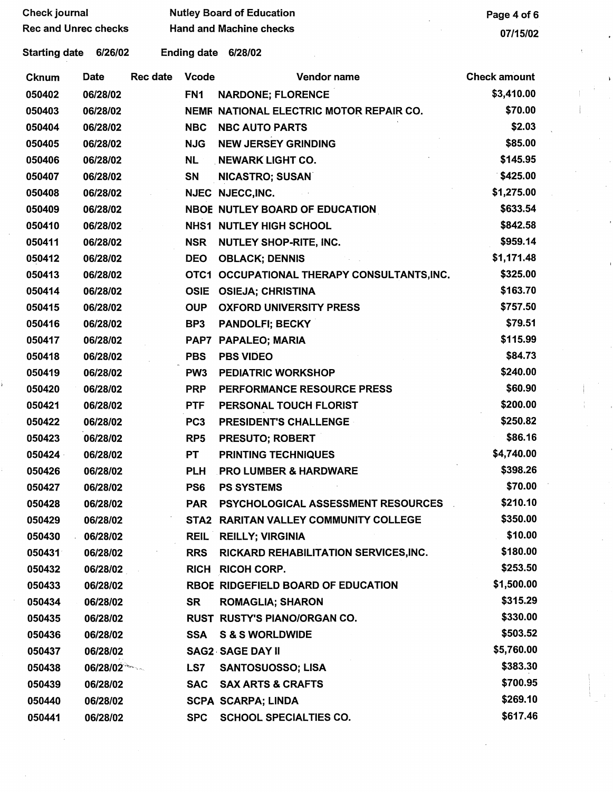| Check journal |                 |                                                                |                                       | Page 4 of 6                                                                                                                                                                                                                                                                                                                                                                                                                                                                                                                                                                                                                                                     |
|---------------|-----------------|----------------------------------------------------------------|---------------------------------------|-----------------------------------------------------------------------------------------------------------------------------------------------------------------------------------------------------------------------------------------------------------------------------------------------------------------------------------------------------------------------------------------------------------------------------------------------------------------------------------------------------------------------------------------------------------------------------------------------------------------------------------------------------------------|
|               |                 |                                                                |                                       | 07/15/02                                                                                                                                                                                                                                                                                                                                                                                                                                                                                                                                                                                                                                                        |
| Starting date |                 |                                                                |                                       |                                                                                                                                                                                                                                                                                                                                                                                                                                                                                                                                                                                                                                                                 |
| Date          | <b>Rec date</b> | <b>Vcode</b>                                                   | Vendor name                           | <b>Check amount</b>                                                                                                                                                                                                                                                                                                                                                                                                                                                                                                                                                                                                                                             |
| 06/28/02      |                 | FN <sub>1</sub>                                                |                                       | \$3,410.00                                                                                                                                                                                                                                                                                                                                                                                                                                                                                                                                                                                                                                                      |
| 06/28/02      |                 |                                                                |                                       | \$70.00                                                                                                                                                                                                                                                                                                                                                                                                                                                                                                                                                                                                                                                         |
| 06/28/02      |                 | <b>NBC</b>                                                     | <b>NBC AUTO PARTS</b>                 | \$2.03                                                                                                                                                                                                                                                                                                                                                                                                                                                                                                                                                                                                                                                          |
| 06/28/02      |                 | <b>NJG</b>                                                     | <b>NEW JERSEY GRINDING</b>            | \$85.00                                                                                                                                                                                                                                                                                                                                                                                                                                                                                                                                                                                                                                                         |
| 06/28/02      |                 | <b>NL</b>                                                      |                                       | \$145.95                                                                                                                                                                                                                                                                                                                                                                                                                                                                                                                                                                                                                                                        |
| 06/28/02      |                 | SN                                                             | <b>NICASTRO; SUSAN</b>                | \$425.00                                                                                                                                                                                                                                                                                                                                                                                                                                                                                                                                                                                                                                                        |
| 06/28/02      |                 |                                                                |                                       | \$1,275.00                                                                                                                                                                                                                                                                                                                                                                                                                                                                                                                                                                                                                                                      |
| 06/28/02      |                 |                                                                |                                       | \$633.54                                                                                                                                                                                                                                                                                                                                                                                                                                                                                                                                                                                                                                                        |
| 06/28/02      |                 |                                                                |                                       | \$842.58                                                                                                                                                                                                                                                                                                                                                                                                                                                                                                                                                                                                                                                        |
| 06/28/02      |                 | <b>NSR</b>                                                     |                                       | \$959.14                                                                                                                                                                                                                                                                                                                                                                                                                                                                                                                                                                                                                                                        |
| 06/28/02      |                 | <b>DEO</b>                                                     | <b>OBLACK; DENNIS</b>                 | \$1,171.48                                                                                                                                                                                                                                                                                                                                                                                                                                                                                                                                                                                                                                                      |
| 06/28/02      |                 |                                                                |                                       | \$325.00                                                                                                                                                                                                                                                                                                                                                                                                                                                                                                                                                                                                                                                        |
| 06/28/02      |                 | <b>OSIE</b>                                                    |                                       | \$163.70                                                                                                                                                                                                                                                                                                                                                                                                                                                                                                                                                                                                                                                        |
| 06/28/02      |                 | <b>OUP</b>                                                     | <b>OXFORD UNIVERSITY PRESS</b>        | \$757.50                                                                                                                                                                                                                                                                                                                                                                                                                                                                                                                                                                                                                                                        |
| 06/28/02      |                 | BP3                                                            | <b>PANDOLFI; BECKY</b>                | \$79.51                                                                                                                                                                                                                                                                                                                                                                                                                                                                                                                                                                                                                                                         |
| 06/28/02      |                 |                                                                |                                       | \$115.99                                                                                                                                                                                                                                                                                                                                                                                                                                                                                                                                                                                                                                                        |
| 06/28/02      |                 | <b>PBS</b>                                                     | <b>PBS VIDEO</b>                      | \$84.73                                                                                                                                                                                                                                                                                                                                                                                                                                                                                                                                                                                                                                                         |
| 06/28/02      |                 | PW <sub>3</sub>                                                | <b>PEDIATRIC WORKSHOP</b>             | \$240.00                                                                                                                                                                                                                                                                                                                                                                                                                                                                                                                                                                                                                                                        |
| 06/28/02      |                 | <b>PRP</b>                                                     | PERFORMANCE RESOURCE PRESS            | \$60.90                                                                                                                                                                                                                                                                                                                                                                                                                                                                                                                                                                                                                                                         |
| 06/28/02      |                 | <b>PTF</b>                                                     | PERSONAL TOUCH FLORIST                | \$200.00                                                                                                                                                                                                                                                                                                                                                                                                                                                                                                                                                                                                                                                        |
| 06/28/02      |                 | PC <sub>3</sub>                                                | <b>PRESIDENT'S CHALLENGE</b>          | \$250.82                                                                                                                                                                                                                                                                                                                                                                                                                                                                                                                                                                                                                                                        |
| 06/28/02      |                 | RP <sub>5</sub>                                                | <b>PRESUTO; ROBERT</b>                | \$86.16                                                                                                                                                                                                                                                                                                                                                                                                                                                                                                                                                                                                                                                         |
| 06/28/02      |                 | PT                                                             | <b>PRINTING TECHNIQUES</b>            | \$4,740.00                                                                                                                                                                                                                                                                                                                                                                                                                                                                                                                                                                                                                                                      |
| 06/28/02      |                 | <b>PLH</b>                                                     | <b>PRO LUMBER &amp; HARDWARE</b>      | \$398.26                                                                                                                                                                                                                                                                                                                                                                                                                                                                                                                                                                                                                                                        |
| 06/28/02      |                 | PS6                                                            | <b>PS SYSTEMS</b>                     | \$70.00                                                                                                                                                                                                                                                                                                                                                                                                                                                                                                                                                                                                                                                         |
| 06/28/02      |                 |                                                                | PSYCHOLOGICAL ASSESSMENT RESOURCES    | \$210.10                                                                                                                                                                                                                                                                                                                                                                                                                                                                                                                                                                                                                                                        |
| 06/28/02      |                 |                                                                |                                       | \$350.00                                                                                                                                                                                                                                                                                                                                                                                                                                                                                                                                                                                                                                                        |
| 06/28/02      |                 |                                                                |                                       | \$10.00                                                                                                                                                                                                                                                                                                                                                                                                                                                                                                                                                                                                                                                         |
| 06/28/02      |                 | <b>RRS</b>                                                     | RICKARD REHABILITATION SERVICES, INC. | \$180.00                                                                                                                                                                                                                                                                                                                                                                                                                                                                                                                                                                                                                                                        |
|               |                 |                                                                |                                       | \$253.50                                                                                                                                                                                                                                                                                                                                                                                                                                                                                                                                                                                                                                                        |
| 06/28/02      |                 |                                                                |                                       | \$1,500.00                                                                                                                                                                                                                                                                                                                                                                                                                                                                                                                                                                                                                                                      |
| 06/28/02      |                 | SR                                                             | <b>ROMAGLIA; SHARON</b>               | \$315.29                                                                                                                                                                                                                                                                                                                                                                                                                                                                                                                                                                                                                                                        |
| 06/28/02      |                 |                                                                |                                       | \$330.00                                                                                                                                                                                                                                                                                                                                                                                                                                                                                                                                                                                                                                                        |
| 06/28/02      |                 | SSA                                                            | <b>S &amp; S WORLDWIDE</b>            | \$503.52                                                                                                                                                                                                                                                                                                                                                                                                                                                                                                                                                                                                                                                        |
| 06/28/02      |                 |                                                                |                                       | \$5,760.00                                                                                                                                                                                                                                                                                                                                                                                                                                                                                                                                                                                                                                                      |
|               |                 | LS7                                                            | <b>SANTOSUOSSO; LISA</b>              | \$383.30                                                                                                                                                                                                                                                                                                                                                                                                                                                                                                                                                                                                                                                        |
| 06/28/02      |                 | <b>SAC</b>                                                     | <b>SAX ARTS &amp; CRAFTS</b>          | \$700.95                                                                                                                                                                                                                                                                                                                                                                                                                                                                                                                                                                                                                                                        |
| 06/28/02      |                 |                                                                |                                       | \$269.10                                                                                                                                                                                                                                                                                                                                                                                                                                                                                                                                                                                                                                                        |
| 06/28/02      |                 | <b>SPC</b>                                                     | <b>SCHOOL SPECIALTIES CO.</b>         | \$617.46                                                                                                                                                                                                                                                                                                                                                                                                                                                                                                                                                                                                                                                        |
|               |                 | <b>Rec and Unrec checks</b><br>6/26/02<br>06/28/02<br>06/28/02 |                                       | <b>Nutley Board of Education</b><br><b>Hand and Machine checks</b><br>Ending date 6/28/02<br><b>NARDONE; FLORENCE</b><br>NEMF NATIONAL ELECTRIC MOTOR REPAIR CO.<br><b>NEWARK LIGHT CO.</b><br>NJEC NJECC, INC.<br>NBOE NUTLEY BOARD OF EDUCATION<br><b>NHS1 NUTLEY HIGH SCHOOL</b><br><b>NUTLEY SHOP-RITE, INC.</b><br>OTC1 OCCUPATIONAL THERAPY CONSULTANTS, INC.<br><b>OSIEJA; CHRISTINA</b><br>PAP7 PAPALEO; MARIA<br>PAR<br>STA2 RARITAN VALLEY COMMUNITY COLLEGE<br><b>REIL REILLY; VIRGINIA</b><br><b>RICH RICOH CORP.</b><br>RBOE RIDGEFIELD BOARD OF EDUCATION<br>RUST RUSTY'S PIANO/ORGAN CO.<br><b>SAG2 SAGE DAY II</b><br><b>SCPA SCARPA; LINDA</b> |

 $\label{eq:2} \frac{1}{\sqrt{2}}\int_{0}^{\pi} \frac{1}{\sqrt{2}}\left(\frac{1}{\sqrt{2}}\right)^{2}dx$ 

 $\overline{\phantom{a}}$ 

 $\mathcal{F}^{\pm}$ 

 $\begin{pmatrix} \mathbf{y} & \mathbf{0} & \mathbf{0} \\ \mathbf{0} & \mathbf{0} & \mathbf{0} \\ \mathbf{0} & \mathbf{0} & \mathbf{0} \end{pmatrix}$ 

 $\frac{1}{\sqrt{2}}\int_{0}^{\sqrt{2}}\frac{1}{\sqrt{2}}\left( \frac{1}{2}\left( \frac{1}{2}\right) ^{2}+\frac{1}{2}\left( \frac{1}{2}\right) ^{2}+\frac{1}{2}\left( \frac{1}{2}\right) ^{2}+\frac{1}{2}\left( \frac{1}{2}\right) ^{2}+\frac{1}{2}\left( \frac{1}{2}\right) ^{2}+\frac{1}{2}\left( \frac{1}{2}\right) ^{2}+\frac{1}{2}\left( \frac{1}{2}\right) ^{2}+\frac{1}{2}\left( \frac{1}{2}\right) ^{2}+\frac{1}{2}\left( \$ 

 $\frac{1}{\sqrt{2}}\left( \frac{1}{\sqrt{2}}\right) ^{2}$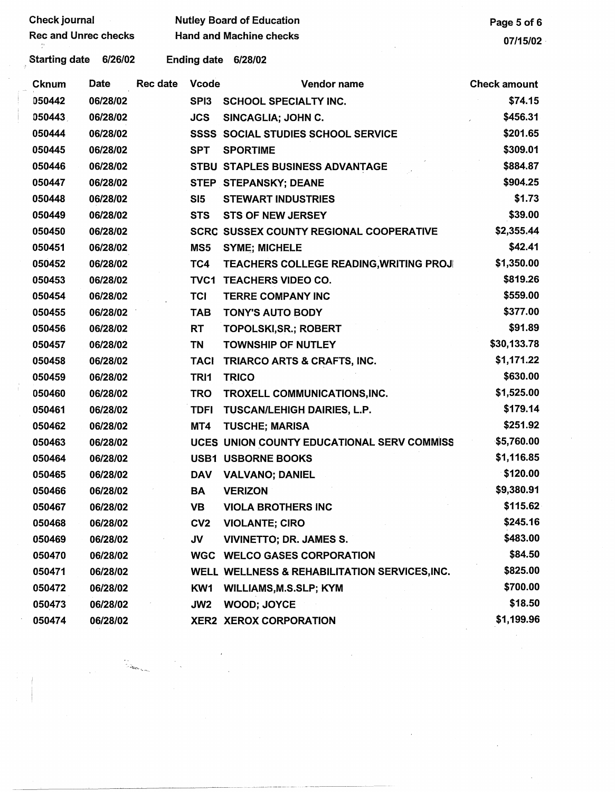| Check journal<br>$\sim 100$ |          |          |                 | <b>Nutley Board of Education</b>               | Page 5 of 6         |
|-----------------------------|----------|----------|-----------------|------------------------------------------------|---------------------|
| <b>Rec and Unrec checks</b> |          |          |                 | <b>Hand and Machine checks</b>                 | 07/15/02            |
| <b>Starting date</b>        | 6/26/02  |          |                 | Ending date 6/28/02                            |                     |
| <b>Cknum</b>                | Date     | Rec date | <b>Vcode</b>    | Vendor name                                    | <b>Check amount</b> |
| 050442                      | 06/28/02 |          |                 | SPI3 SCHOOL SPECIALTY INC.                     | \$74.15             |
| 050443                      | 06/28/02 |          | <b>JCS</b>      | SINCAGLIA; JOHN C.                             | \$456.31            |
| 050444                      | 06/28/02 |          |                 | <b>SSSS SOCIAL STUDIES SCHOOL SERVICE</b>      | \$201.65            |
| 050445                      | 06/28/02 |          | <b>SPT</b>      | <b>SPORTIME</b>                                | \$309.01            |
| 050446                      | 06/28/02 |          |                 | STBU STAPLES BUSINESS ADVANTAGE                | \$884.87            |
| 050447                      | 06/28/02 |          |                 | STEP STEPANSKY; DEANE                          | \$904.25            |
| 050448                      | 06/28/02 |          | SI5             | <b>STEWART INDUSTRIES</b>                      | \$1.73              |
| 050449                      | 06/28/02 |          | <b>STS</b>      | <b>STS OF NEW JERSEY</b>                       | \$39.00             |
| 050450                      | 06/28/02 |          |                 | <b>SCRC SUSSEX COUNTY REGIONAL COOPERATIVE</b> | \$2,355.44          |
| 050451                      | 06/28/02 |          | MS5             | <b>SYME; MICHELE</b>                           | \$42.41             |
| 050452                      | 06/28/02 |          | TC4             | TEACHERS COLLEGE READING, WRITING PROJ         | \$1,350.00          |
| 050453                      | 06/28/02 |          |                 | TVC1 TEACHERS VIDEO CO.                        | \$819.26            |
| 050454                      | 06/28/02 |          | <b>TCI</b>      | TERRE COMPANY INC                              | \$559.00            |
| 050455                      | 06/28/02 |          | <b>TAB</b>      | <b>TONY'S AUTO BODY</b>                        | \$377.00            |
| 050456                      | 06/28/02 |          | <b>RT</b>       | TOPOLSKI, SR.; ROBERT                          | \$91.89             |
| 050457                      | 06/28/02 |          | TN              | <b>TOWNSHIP OF NUTLEY</b>                      | \$30,133.78         |
| 050458                      | 06/28/02 |          | TACI            | TRIARCO ARTS & CRAFTS, INC.                    | \$1,171.22          |
| 050459                      | 06/28/02 |          | TRI1            | <b>TRICO</b>                                   | \$630.00            |
| 050460                      | 06/28/02 |          | <b>TRO</b>      | TROXELL COMMUNICATIONS, INC.                   | \$1,525.00          |
| 050461                      | 06/28/02 |          | <b>TDFI</b>     | <b>TUSCAN/LEHIGH DAIRIES, L.P.</b>             | \$179.14            |
| 050462                      | 06/28/02 |          | MT4             | <b>TUSCHE; MARISA</b>                          | \$251.92            |
| 050463                      | 06/28/02 |          |                 | UCES UNION COUNTY EDUCATIONAL SERV COMMISS     | \$5,760.00          |
| 050464                      | 06/28/02 |          |                 | <b>USB1 USBORNE BOOKS</b>                      | \$1,116.85          |
| 050465                      | 06/28/02 |          | <b>DAV</b>      | <b>VALVANO; DANIEL</b>                         | \$120.00            |
| 050466                      | 06/28/02 |          | <b>BA</b>       | <b>VERIZON</b>                                 | \$9,380.91          |
| 050467                      | 06/28/02 |          | <b>VB</b>       | <b>VIOLA BROTHERS INC</b>                      | \$115.62            |
| 050468                      | 06/28/02 |          | CV <sub>2</sub> | <b>VIOLANTE; CIRO</b>                          | \$245.16            |
| 050469                      | 06/28/02 |          | <b>JV</b>       | <b>VIVINETTO; DR. JAMES S.</b>                 | \$483.00            |
| 050470                      | 06/28/02 |          |                 | <b>WGC WELCO GASES CORPORATION</b>             | \$84.50             |
| 050471                      | 06/28/02 |          |                 | WELL WELLNESS & REHABILITATION SERVICES, INC.  | \$825.00            |
| 050472                      | 06/28/02 |          | KW1             | <b>WILLIAMS, M.S.SLP; KYM</b>                  | \$700.00            |
| 050473                      | 06/28/02 |          | JW2             | <b>WOOD; JOYCE</b>                             | \$18.50             |
| 050474                      | 06/28/02 |          |                 | <b>XER2 XEROX CORPORATION</b>                  | \$1,199.96          |

 $\frac{1}{2}$